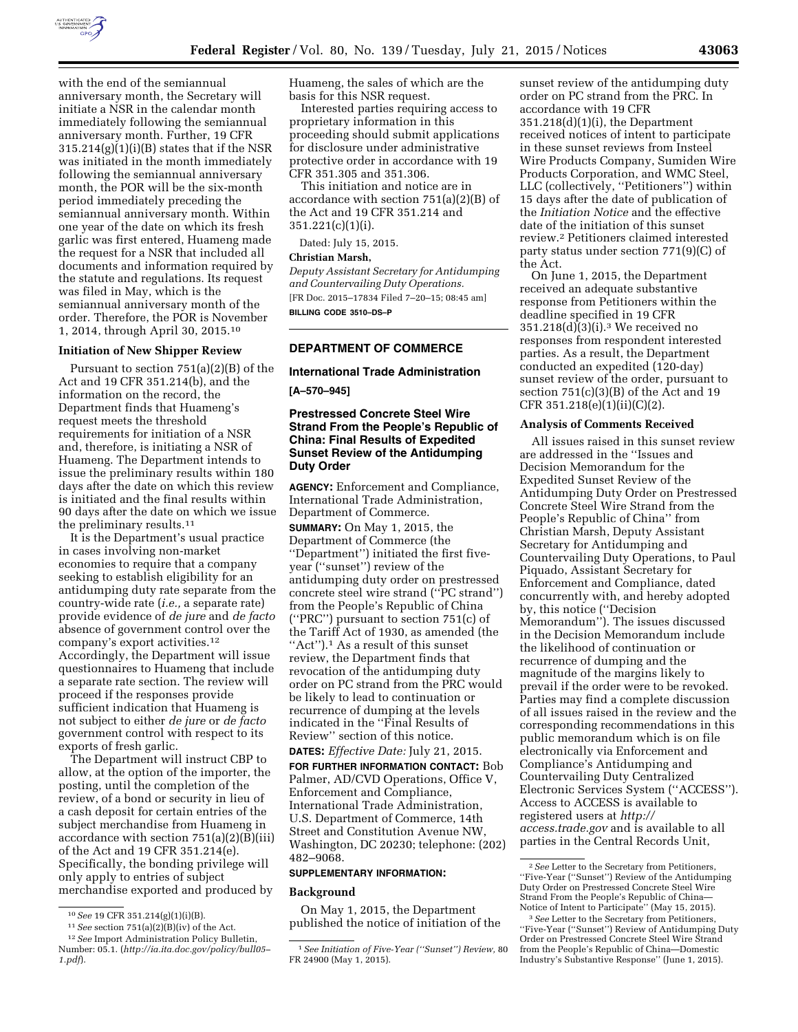

with the end of the semiannual anniversary month, the Secretary will initiate a NSR in the calendar month immediately following the semiannual anniversary month. Further, 19 CFR 315.214(g)(1)(i)(B) states that if the NSR was initiated in the month immediately following the semiannual anniversary month, the POR will be the six-month period immediately preceding the semiannual anniversary month. Within one year of the date on which its fresh garlic was first entered, Huameng made the request for a NSR that included all documents and information required by the statute and regulations. Its request was filed in May, which is the semiannual anniversary month of the order. Therefore, the POR is November 1, 2014, through April 30, 2015.10

# **Initiation of New Shipper Review**

Pursuant to section 751(a)(2)(B) of the Act and 19 CFR 351.214(b), and the information on the record, the Department finds that Huameng's request meets the threshold requirements for initiation of a NSR and, therefore, is initiating a NSR of Huameng. The Department intends to issue the preliminary results within 180 days after the date on which this review is initiated and the final results within 90 days after the date on which we issue the preliminary results.11

It is the Department's usual practice in cases involving non-market economies to require that a company seeking to establish eligibility for an antidumping duty rate separate from the country-wide rate (*i.e.,* a separate rate) provide evidence of *de jure* and *de facto*  absence of government control over the company's export activities.12 Accordingly, the Department will issue questionnaires to Huameng that include a separate rate section. The review will proceed if the responses provide sufficient indication that Huameng is not subject to either *de jure* or *de facto*  government control with respect to its exports of fresh garlic.

The Department will instruct CBP to allow, at the option of the importer, the posting, until the completion of the review, of a bond or security in lieu of a cash deposit for certain entries of the subject merchandise from Huameng in accordance with section 751(a)(2)(B)(iii) of the Act and 19 CFR 351.214(e). Specifically, the bonding privilege will only apply to entries of subject merchandise exported and produced by

Huameng, the sales of which are the basis for this NSR request.

Interested parties requiring access to proprietary information in this proceeding should submit applications for disclosure under administrative protective order in accordance with 19 CFR 351.305 and 351.306.

This initiation and notice are in accordance with section 751(a)(2)(B) of the Act and 19 CFR 351.214 and  $351.221(c)(1)(i)$ .

Dated: July 15, 2015.

#### **Christian Marsh,**

*Deputy Assistant Secretary for Antidumping and Countervailing Duty Operations.*  [FR Doc. 2015–17834 Filed 7–20–15; 08:45 am] **BILLING CODE 3510–DS–P** 

# **DEPARTMENT OF COMMERCE**

### **International Trade Administration**

**[A–570–945]** 

# **Prestressed Concrete Steel Wire Strand From the People's Republic of China: Final Results of Expedited Sunset Review of the Antidumping Duty Order**

**AGENCY:** Enforcement and Compliance, International Trade Administration, Department of Commerce.

**SUMMARY:** On May 1, 2015, the Department of Commerce (the ''Department'') initiated the first fiveyear (''sunset'') review of the antidumping duty order on prestressed concrete steel wire strand (''PC strand'') from the People's Republic of China (''PRC'') pursuant to section 751(c) of the Tariff Act of 1930, as amended (the "Act").<sup>1</sup> As a result of this sunset review, the Department finds that revocation of the antidumping duty order on PC strand from the PRC would be likely to lead to continuation or recurrence of dumping at the levels indicated in the ''Final Results of Review'' section of this notice.

**DATES:** *Effective Date:* July 21, 2015. **FOR FURTHER INFORMATION CONTACT:** Bob Palmer, AD/CVD Operations, Office V, Enforcement and Compliance,

International Trade Administration, U.S. Department of Commerce, 14th Street and Constitution Avenue NW, Washington, DC 20230; telephone: (202) 482–9068.

#### **SUPPLEMENTARY INFORMATION:**

#### **Background**

On May 1, 2015, the Department published the notice of initiation of the

sunset review of the antidumping duty order on PC strand from the PRC. In accordance with 19 CFR 351.218(d)(1)(i), the Department received notices of intent to participate in these sunset reviews from Insteel Wire Products Company, Sumiden Wire Products Corporation, and WMC Steel, LLC (collectively, ''Petitioners'') within 15 days after the date of publication of the *Initiation Notice* and the effective date of the initiation of this sunset review.2 Petitioners claimed interested party status under section 771(9)(C) of the Act.

On June 1, 2015, the Department received an adequate substantive response from Petitioners within the deadline specified in 19 CFR  $351.218(d)(3)(i).$ <sup>3</sup> We received no responses from respondent interested parties. As a result, the Department conducted an expedited (120-day) sunset review of the order, pursuant to section  $751(c)(3)(B)$  of the Act and 19 CFR 351.218(e)(1)(ii)(C)(2).

# **Analysis of Comments Received**

All issues raised in this sunset review are addressed in the ''Issues and Decision Memorandum for the Expedited Sunset Review of the Antidumping Duty Order on Prestressed Concrete Steel Wire Strand from the People's Republic of China'' from Christian Marsh, Deputy Assistant Secretary for Antidumping and Countervailing Duty Operations, to Paul Piquado, Assistant Secretary for Enforcement and Compliance, dated concurrently with, and hereby adopted by, this notice (''Decision Memorandum''). The issues discussed in the Decision Memorandum include the likelihood of continuation or recurrence of dumping and the magnitude of the margins likely to prevail if the order were to be revoked. Parties may find a complete discussion of all issues raised in the review and the corresponding recommendations in this public memorandum which is on file electronically via Enforcement and Compliance's Antidumping and Countervailing Duty Centralized Electronic Services System (''ACCESS''). Access to ACCESS is available to registered users at *[http://](http://access.trade.gov) [access.trade.gov](http://access.trade.gov)* and is available to all parties in the Central Records Unit,

<sup>10</sup>*See* 19 CFR 351.214(g)(1)(i)(B).

 $^{11}See$  section  $751(a)(2)(B)(iv)$  of the Act.

<sup>12</sup>*See* Import Administration Policy Bulletin, Number: 05.1. (*[http://ia.ita.doc.gov/policy/bull05–](http://ia.ita.doc.gov/policy/bull05-1.pdf) [1.pdf](http://ia.ita.doc.gov/policy/bull05-1.pdf)*).

<sup>1</sup>*See Initiation of Five-Year (''Sunset'') Review,* 80 FR 24900 (May 1, 2015).

<sup>2</sup>*See* Letter to the Secretary from Petitioners, ''Five-Year (''Sunset'') Review of the Antidumping Duty Order on Prestressed Concrete Steel Wire Strand From the People's Republic of China—<br>Notice of Intent to Participate'' (May 15, 2015).

<sup>&</sup>lt;sup>3</sup> See Letter to the Secretary from Petitioners, ''Five-Year (''Sunset'') Review of Antidumping Duty Order on Prestressed Concrete Steel Wire Strand from the People's Republic of China—Domestic Industry's Substantive Response'' (June 1, 2015).